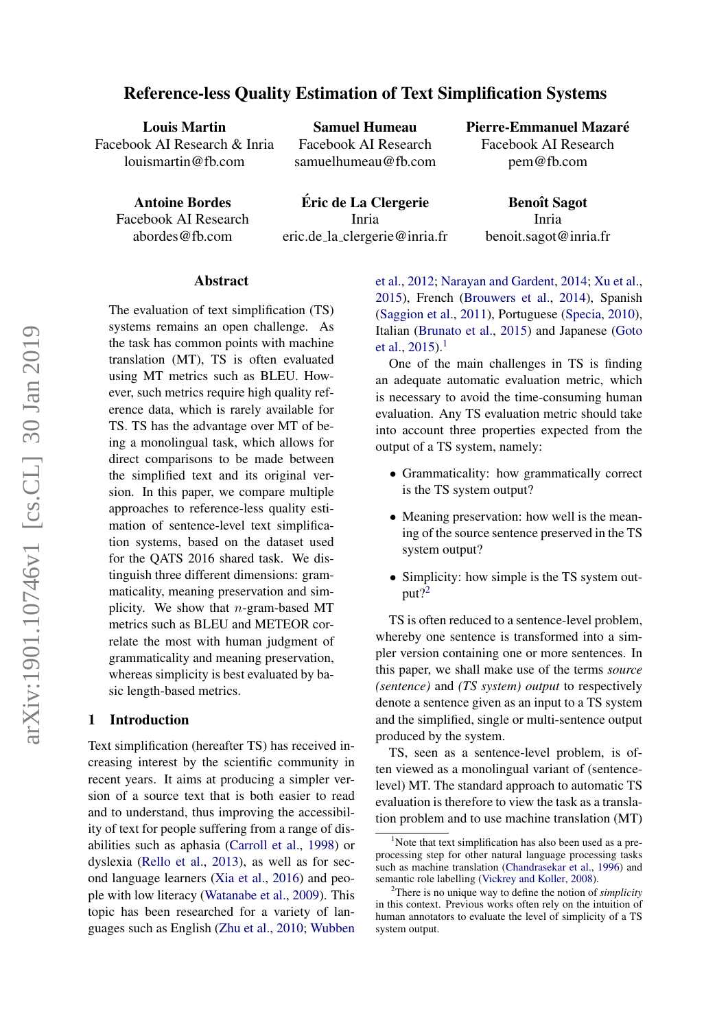# Reference-less Quality Estimation of Text Simplification Systems

Louis Martin Facebook AI Research & Inria louismartin@fb.com

Samuel Humeau Facebook AI Research samuelhumeau@fb.com Pierre-Emmanuel Mazaré

Facebook AI Research pem@fb.com

Antoine Bordes

Facebook AI Research abordes@fb.com

Eric de La Clergerie ´ Inria eric.de la clergerie@inria.fr

**Benoît Sagot** Inria benoit.sagot@inria.fr

#### Abstract

The evaluation of text simplification (TS) systems remains an open challenge. As the task has common points with machine translation (MT), TS is often evaluated using MT metrics such as BLEU. However, such metrics require high quality reference data, which is rarely available for TS. TS has the advantage over MT of being a monolingual task, which allows for direct comparisons to be made between the simplified text and its original version. In this paper, we compare multiple approaches to reference-less quality estimation of sentence-level text simplification systems, based on the dataset used for the QATS 2016 shared task. We distinguish three different dimensions: grammaticality, meaning preservation and simplicity. We show that  $n$ -gram-based MT metrics such as BLEU and METEOR correlate the most with human judgment of grammaticality and meaning preservation, whereas simplicity is best evaluated by basic length-based metrics.

### 1 Introduction

Text simplification (hereafter TS) has received increasing interest by the scientific community in recent years. It aims at producing a simpler version of a source text that is both easier to read and to understand, thus improving the accessibility of text for people suffering from a range of disabilities such as aphasia [\(Carroll et al.,](#page-8-0) [1998\)](#page-8-0) or dyslexia [\(Rello et al.,](#page-8-1) [2013\)](#page-8-1), as well as for second language learners [\(Xia et al.,](#page-9-0) [2016\)](#page-9-0) and people with low literacy [\(Watanabe et al.,](#page-9-1) [2009\)](#page-9-1). This topic has been researched for a variety of languages such as English [\(Zhu et al.,](#page-9-2) [2010;](#page-9-2) [Wubben](#page-9-3) [et al.,](#page-9-3) [2012;](#page-9-3) [Narayan and Gardent,](#page-8-2) [2014;](#page-8-2) [Xu et al.,](#page-9-4) [2015\)](#page-9-4), French [\(Brouwers et al.,](#page-8-3) [2014\)](#page-8-3), Spanish [\(Saggion et al.,](#page-9-5) [2011\)](#page-9-5), Portuguese [\(Specia,](#page-9-6) [2010\)](#page-9-6), Italian [\(Brunato et al.,](#page-8-4) [2015\)](#page-8-4) and Japanese [\(Goto](#page-8-5) [et al.,](#page-8-5)  $2015$  $2015$  $2015$ ).<sup>1</sup>

One of the main challenges in TS is finding an adequate automatic evaluation metric, which is necessary to avoid the time-consuming human evaluation. Any TS evaluation metric should take into account three properties expected from the output of a TS system, namely:

- Grammaticality: how grammatically correct is the TS system output?
- Meaning preservation: how well is the meaning of the source sentence preserved in the TS system output?
- Simplicity: how simple is the TS system output?[2](#page-0-1)

TS is often reduced to a sentence-level problem, whereby one sentence is transformed into a simpler version containing one or more sentences. In this paper, we shall make use of the terms *source (sentence)* and *(TS system) output* to respectively denote a sentence given as an input to a TS system and the simplified, single or multi-sentence output produced by the system.

TS, seen as a sentence-level problem, is often viewed as a monolingual variant of (sentencelevel) MT. The standard approach to automatic TS evaluation is therefore to view the task as a translation problem and to use machine translation (MT)

<span id="page-0-0"></span> $1$ Note that text simplification has also been used as a preprocessing step for other natural language processing tasks such as machine translation [\(Chandrasekar et al.,](#page-8-6) [1996\)](#page-8-6) and semantic role labelling [\(Vickrey and Koller,](#page-9-7) [2008\)](#page-9-7).

<span id="page-0-1"></span><sup>2</sup>There is no unique way to define the notion of *simplicity* in this context. Previous works often rely on the intuition of human annotators to evaluate the level of simplicity of a TS system output.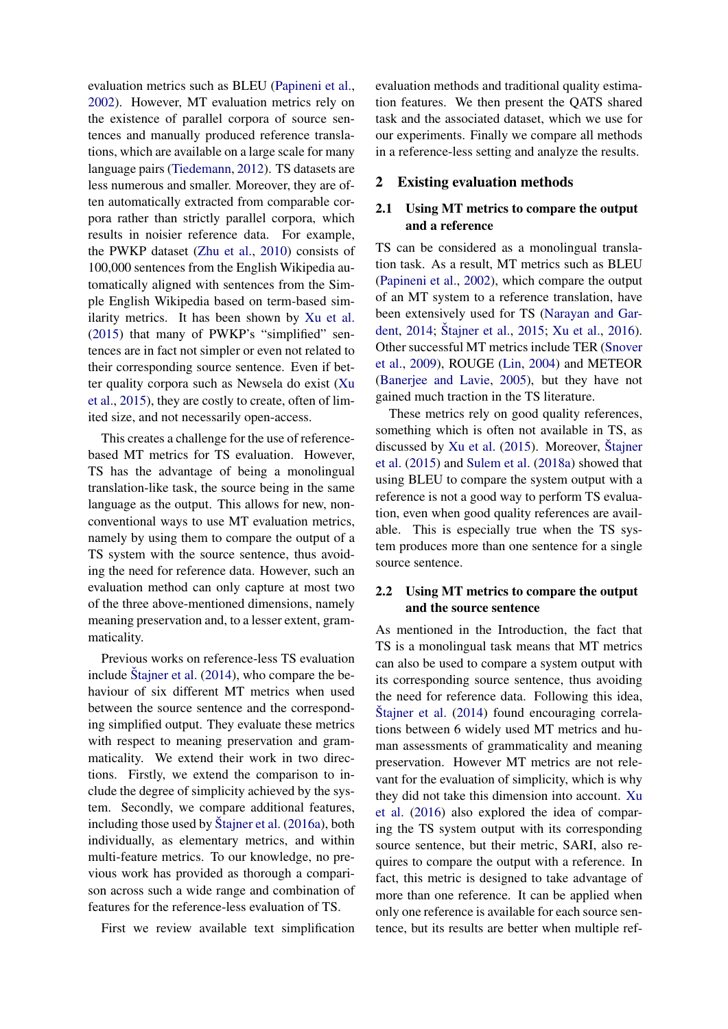evaluation metrics such as BLEU [\(Papineni et al.,](#page-8-7) [2002\)](#page-8-7). However, MT evaluation metrics rely on the existence of parallel corpora of source sentences and manually produced reference translations, which are available on a large scale for many language pairs [\(Tiedemann,](#page-9-8) [2012\)](#page-9-8). TS datasets are less numerous and smaller. Moreover, they are often automatically extracted from comparable corpora rather than strictly parallel corpora, which results in noisier reference data. For example, the PWKP dataset [\(Zhu et al.,](#page-9-2) [2010\)](#page-9-2) consists of 100,000 sentences from the English Wikipedia automatically aligned with sentences from the Simple English Wikipedia based on term-based similarity metrics. It has been shown by [Xu et al.](#page-9-4) [\(2015\)](#page-9-4) that many of PWKP's "simplified" sentences are in fact not simpler or even not related to their corresponding source sentence. Even if better quality corpora such as Newsela do exist [\(Xu](#page-9-4) [et al.,](#page-9-4) [2015\)](#page-9-4), they are costly to create, often of limited size, and not necessarily open-access.

This creates a challenge for the use of referencebased MT metrics for TS evaluation. However, TS has the advantage of being a monolingual translation-like task, the source being in the same language as the output. This allows for new, nonconventional ways to use MT evaluation metrics, namely by using them to compare the output of a TS system with the source sentence, thus avoiding the need for reference data. However, such an evaluation method can only capture at most two of the three above-mentioned dimensions, namely meaning preservation and, to a lesser extent, grammaticality.

Previous works on reference-less TS evaluation include Štajner et al.  $(2014)$ , who compare the behaviour of six different MT metrics when used between the source sentence and the corresponding simplified output. They evaluate these metrics with respect to meaning preservation and grammaticality. We extend their work in two directions. Firstly, we extend the comparison to include the degree of simplicity achieved by the system. Secondly, we compare additional features, including those used by [Stajner et al.](#page-9-10)  $(2016a)$ , both individually, as elementary metrics, and within multi-feature metrics. To our knowledge, no previous work has provided as thorough a comparison across such a wide range and combination of features for the reference-less evaluation of TS.

First we review available text simplification

evaluation methods and traditional quality estimation features. We then present the QATS shared task and the associated dataset, which we use for our experiments. Finally we compare all methods in a reference-less setting and analyze the results.

#### 2 Existing evaluation methods

### 2.1 Using MT metrics to compare the output and a reference

TS can be considered as a monolingual translation task. As a result, MT metrics such as BLEU [\(Papineni et al.,](#page-8-7) [2002\)](#page-8-7), which compare the output of an MT system to a reference translation, have been extensively used for TS [\(Narayan and Gar](#page-8-2)[dent,](#page-8-2) [2014;](#page-8-2) Štajner et al., [2015;](#page-9-11) [Xu et al.,](#page-9-12) [2016\)](#page-9-12). Other successful MT metrics include TER [\(Snover](#page-9-13) [et al.,](#page-9-13) [2009\)](#page-9-13), ROUGE [\(Lin,](#page-8-8) [2004\)](#page-8-8) and METEOR [\(Banerjee and Lavie,](#page-8-9) [2005\)](#page-8-9), but they have not gained much traction in the TS literature.

These metrics rely on good quality references, something which is often not available in TS, as discussed by [Xu et al.](#page-9-4)  $(2015)$ . Moreover, Štajner [et al.](#page-9-11) [\(2015\)](#page-9-11) and [Sulem et al.](#page-9-14) [\(2018a\)](#page-9-14) showed that using BLEU to compare the system output with a reference is not a good way to perform TS evaluation, even when good quality references are available. This is especially true when the TS system produces more than one sentence for a single source sentence.

### 2.2 Using MT metrics to compare the output and the source sentence

As mentioned in the Introduction, the fact that TS is a monolingual task means that MT metrics can also be used to compare a system output with its corresponding source sentence, thus avoiding the need for reference data. Following this idea,  $\text{Stainer et al.}$  [\(2014\)](#page-9-9) found encouraging correlations between 6 widely used MT metrics and human assessments of grammaticality and meaning preservation. However MT metrics are not relevant for the evaluation of simplicity, which is why they did not take this dimension into account. [Xu](#page-9-12) [et al.](#page-9-12) [\(2016\)](#page-9-12) also explored the idea of comparing the TS system output with its corresponding source sentence, but their metric, SARI, also requires to compare the output with a reference. In fact, this metric is designed to take advantage of more than one reference. It can be applied when only one reference is available for each source sentence, but its results are better when multiple ref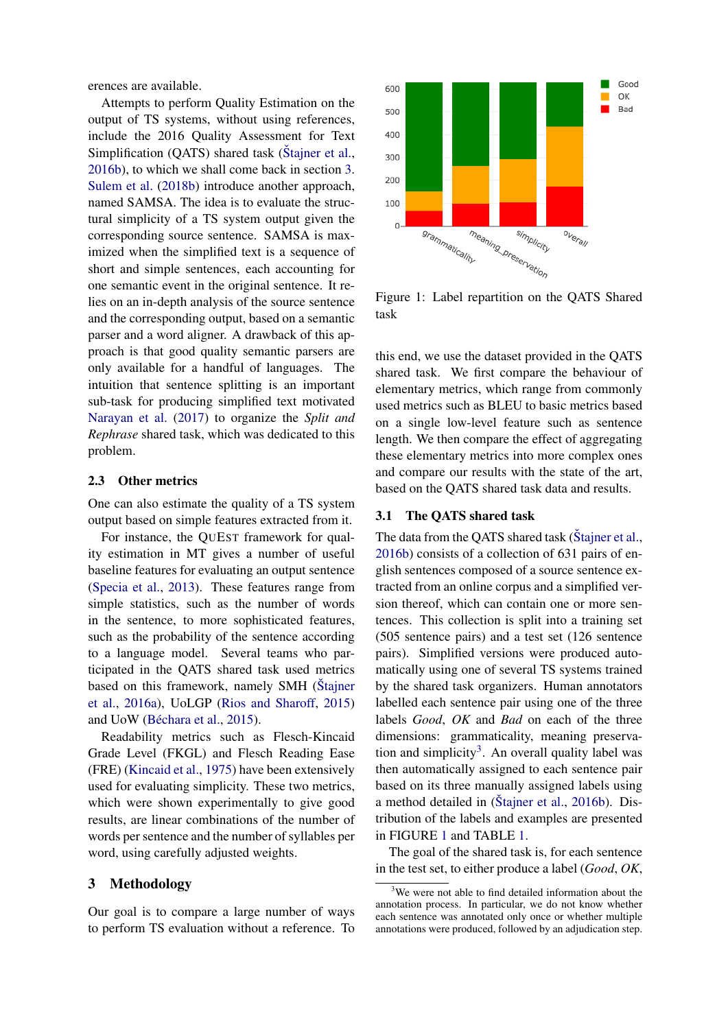erences are available.

Attempts to perform Quality Estimation on the output of TS systems, without using references, include the 2016 Quality Assessment for Text Simplification (QATS) shared task [\(Stajner et al.](#page-9-15), [2016b\)](#page-9-15), to which we shall come back in section [3.](#page-2-0) [Sulem et al.](#page-9-16) [\(2018b\)](#page-9-16) introduce another approach, named SAMSA. The idea is to evaluate the structural simplicity of a TS system output given the corresponding source sentence. SAMSA is maximized when the simplified text is a sequence of short and simple sentences, each accounting for one semantic event in the original sentence. It relies on an in-depth analysis of the source sentence and the corresponding output, based on a semantic parser and a word aligner. A drawback of this approach is that good quality semantic parsers are only available for a handful of languages. The intuition that sentence splitting is an important sub-task for producing simplified text motivated [Narayan et al.](#page-8-10) [\(2017\)](#page-8-10) to organize the *Split and Rephrase* shared task, which was dedicated to this problem.

### 2.3 Other metrics

One can also estimate the quality of a TS system output based on simple features extracted from it.

For instance, the QUEST framework for quality estimation in MT gives a number of useful baseline features for evaluating an output sentence [\(Specia et al.,](#page-9-17) [2013\)](#page-9-17). These features range from simple statistics, such as the number of words in the sentence, to more sophisticated features, such as the probability of the sentence according to a language model. Several teams who participated in the QATS shared task used metrics based on this framework, namely SMH [\(Stajner](#page-9-10) [et al.,](#page-9-10) [2016a\)](#page-9-10), UoLGP [\(Rios and Sharoff,](#page-8-11) [2015\)](#page-8-11) and UoW (Béchara et al., [2015\)](#page-8-12).

Readability metrics such as Flesch-Kincaid Grade Level (FKGL) and Flesch Reading Ease (FRE) [\(Kincaid et al.,](#page-8-13) [1975\)](#page-8-13) have been extensively used for evaluating simplicity. These two metrics, which were shown experimentally to give good results, are linear combinations of the number of words per sentence and the number of syllables per word, using carefully adjusted weights.

### <span id="page-2-0"></span>3 Methodology

Our goal is to compare a large number of ways to perform TS evaluation without a reference. To

<span id="page-2-2"></span>

Figure 1: Label repartition on the QATS Shared task

this end, we use the dataset provided in the QATS shared task. We first compare the behaviour of elementary metrics, which range from commonly used metrics such as BLEU to basic metrics based on a single low-level feature such as sentence length. We then compare the effect of aggregating these elementary metrics into more complex ones and compare our results with the state of the art, based on the QATS shared task data and results.

### 3.1 The QATS shared task

The data from the QATS shared task (Štajner et al., [2016b\)](#page-9-15) consists of a collection of 631 pairs of english sentences composed of a source sentence extracted from an online corpus and a simplified version thereof, which can contain one or more sentences. This collection is split into a training set (505 sentence pairs) and a test set (126 sentence pairs). Simplified versions were produced automatically using one of several TS systems trained by the shared task organizers. Human annotators labelled each sentence pair using one of the three labels *Good*, *OK* and *Bad* on each of the three dimensions: grammaticality, meaning preserva-tion and simplicity<sup>[3](#page-2-1)</sup>. An overall quality label was then automatically assigned to each sentence pair based on its three manually assigned labels using a method detailed in  $(Štajner et al., 2016b)$  $(Štajner et al., 2016b)$ . Distribution of the labels and examples are presented in FIGURE [1](#page-2-2) and TABLE [1.](#page-3-0)

The goal of the shared task is, for each sentence in the test set, to either produce a label (*Good*, *OK*,

<span id="page-2-1"></span><sup>&</sup>lt;sup>3</sup>We were not able to find detailed information about the annotation process. In particular, we do not know whether each sentence was annotated only once or whether multiple annotations were produced, followed by an adjudication step.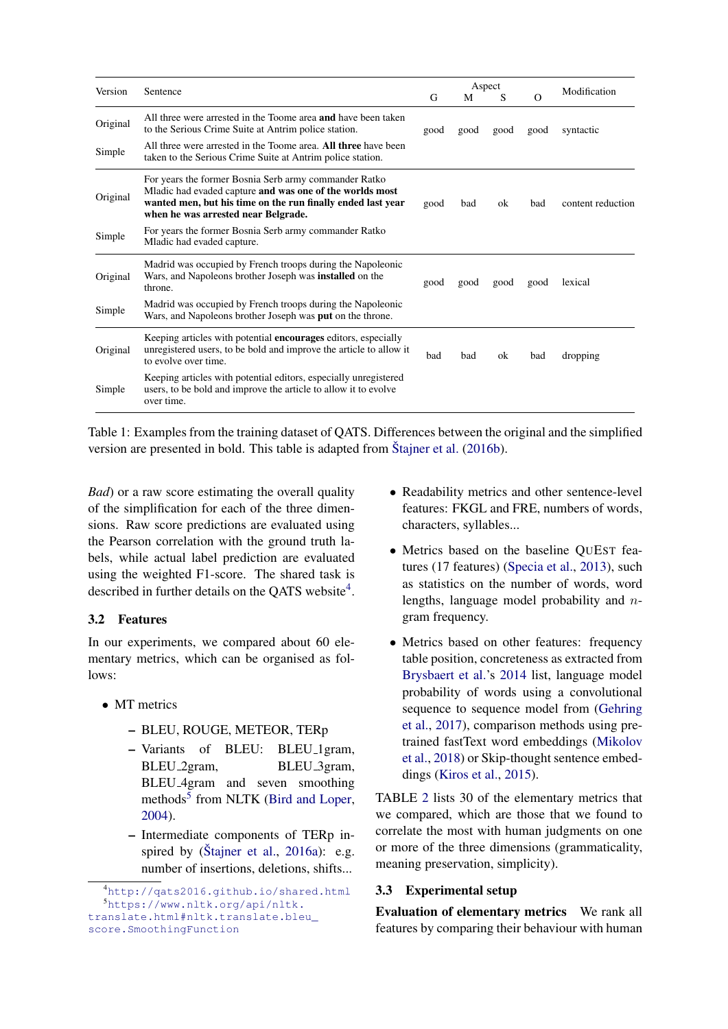<span id="page-3-0"></span>

|          | Sentence                                                                                                                                                                                                                |      | Aspect |      |          |                   |
|----------|-------------------------------------------------------------------------------------------------------------------------------------------------------------------------------------------------------------------------|------|--------|------|----------|-------------------|
| Version  |                                                                                                                                                                                                                         |      | М      | S    | $\Omega$ | Modification      |
| Original | All three were arrested in the Toome area <b>and</b> have been taken<br>to the Serious Crime Suite at Antrim police station.                                                                                            | good | good   | good | good     | syntactic         |
| Simple   | All three were arrested in the Toome area. All three have been<br>taken to the Serious Crime Suite at Antrim police station.                                                                                            |      |        |      |          |                   |
| Original | For years the former Bosnia Serb army commander Ratko<br>Mladic had evaded capture and was one of the worlds most<br>wanted men, but his time on the run finally ended last year<br>when he was arrested near Belgrade. | good | bad    | ok   | bad      | content reduction |
| Simple   | For years the former Bosnia Serb army commander Ratko<br>Mladic had evaded capture.                                                                                                                                     |      |        |      |          |                   |
| Original | Madrid was occupied by French troops during the Napoleonic<br>Wars, and Napoleons brother Joseph was <b>installed</b> on the<br>throne.                                                                                 | good | good   | good | good     | lexical           |
| Simple   | Madrid was occupied by French troops during the Napoleonic<br>Wars, and Napoleons brother Joseph was put on the throne.                                                                                                 |      |        |      |          |                   |
| Original | Keeping articles with potential <b>encourages</b> editors, especially<br>unregistered users, to be bold and improve the article to allow it<br>to evolve over time.                                                     | bad  | bad    | ok   | bad      | dropping          |
| Simple   | Keeping articles with potential editors, especially unregistered<br>users, to be bold and improve the article to allow it to evolve<br>over time.                                                                       |      |        |      |          |                   |

Table 1: Examples from the training dataset of QATS. Differences between the original and the simplified version are presented in bold. This table is adapted from [Stajner et al.](#page-9-15)  $(2016b)$ .

*Bad*) or a raw score estimating the overall quality of the simplification for each of the three dimensions. Raw score predictions are evaluated using the Pearson correlation with the ground truth labels, while actual label prediction are evaluated using the weighted F1-score. The shared task is described in further details on the QATS website<sup>[4](#page-3-1)</sup>.

## 3.2 Features

In our experiments, we compared about 60 elementary metrics, which can be organised as follows:

- MT metrics
	- BLEU, ROUGE, METEOR, TERp
	- Variants of BLEU: BLEU 1gram, BLEU<sub>-2gram</sub>, BLEU<sub>-3gram</sub>, BLEU 4gram and seven smoothing methods<sup>[5](#page-3-2)</sup> from NLTK [\(Bird and Loper,](#page-8-14) [2004\)](#page-8-14).
	- Intermediate components of TERp inspired by  $(\check{S} \text{tainer et al., } 2016a):$  $(\check{S} \text{tainer et al., } 2016a):$  $(\check{S} \text{tainer et al., } 2016a):$  e.g. number of insertions, deletions, shifts...
- Readability metrics and other sentence-level features: FKGL and FRE, numbers of words, characters, syllables...
- Metrics based on the baseline QUEST features (17 features) [\(Specia et al.,](#page-9-17) [2013\)](#page-9-17), such as statistics on the number of words, word lengths, language model probability and ngram frequency.
- Metrics based on other features: frequency table position, concreteness as extracted from [Brysbaert et al.'](#page-8-15)s [2014](#page-8-15) list, language model probability of words using a convolutional sequence to sequence model from [\(Gehring](#page-8-16) [et al.,](#page-8-16) [2017\)](#page-8-16), comparison methods using pretrained fastText word embeddings [\(Mikolov](#page-8-17) [et al.,](#page-8-17) [2018\)](#page-8-17) or Skip-thought sentence embeddings [\(Kiros et al.,](#page-8-18) [2015\)](#page-8-18).

TABLE [2](#page-5-0) lists 30 of the elementary metrics that we compared, which are those that we found to correlate the most with human judgments on one or more of the three dimensions (grammaticality, meaning preservation, simplicity).

## 3.3 Experimental setup

Evaluation of elementary metrics We rank all features by comparing their behaviour with human

<span id="page-3-2"></span><span id="page-3-1"></span><sup>4</sup><http://qats2016.github.io/shared.html> <sup>5</sup>[https://www.nltk.org/api/nltk.](https://www.nltk.org/api/nltk.translate.html#nltk.translate.bleu_score.SmoothingFunction) [translate.html#nltk.translate.bleu\\_](https://www.nltk.org/api/nltk.translate.html#nltk.translate.bleu_score.SmoothingFunction) [score.SmoothingFunction](https://www.nltk.org/api/nltk.translate.html#nltk.translate.bleu_score.SmoothingFunction)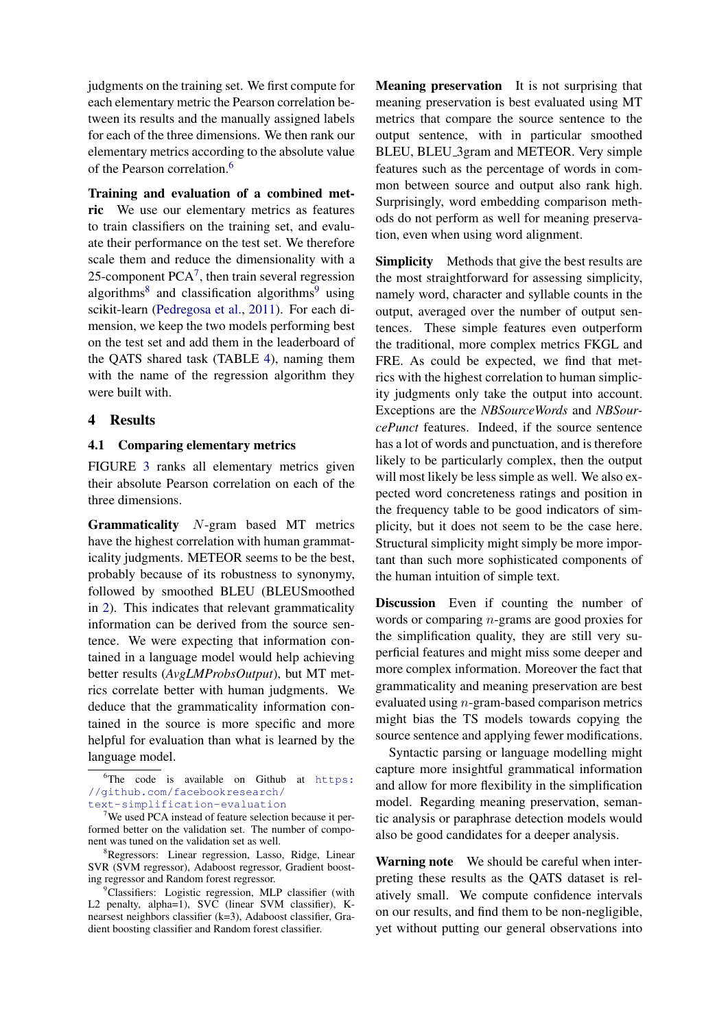judgments on the training set. We first compute for each elementary metric the Pearson correlation between its results and the manually assigned labels for each of the three dimensions. We then rank our elementary metrics according to the absolute value of the Pearson correlation.[6](#page-4-0)

Training and evaluation of a combined metric We use our elementary metrics as features to train classifiers on the training set, and evaluate their performance on the test set. We therefore scale them and reduce the dimensionality with a 25-component  $PCA<sup>7</sup>$  $PCA<sup>7</sup>$  $PCA<sup>7</sup>$ , then train several regression algorithms<sup>[8](#page-4-2)</sup> and classification algorithms<sup>[9](#page-4-3)</sup> using scikit-learn [\(Pedregosa et al.,](#page-8-19) [2011\)](#page-8-19). For each dimension, we keep the two models performing best on the test set and add them in the leaderboard of the QATS shared task (TABLE [4\)](#page-7-0), naming them with the name of the regression algorithm they were built with.

### 4 Results

### 4.1 Comparing elementary metrics

FIGURE [3](#page-5-1) ranks all elementary metrics given their absolute Pearson correlation on each of the three dimensions.

Grammaticality N-gram based MT metrics have the highest correlation with human grammaticality judgments. METEOR seems to be the best, probably because of its robustness to synonymy, followed by smoothed BLEU (BLEUSmoothed in [2\)](#page-5-0). This indicates that relevant grammaticality information can be derived from the source sentence. We were expecting that information contained in a language model would help achieving better results (*AvgLMProbsOutput*), but MT metrics correlate better with human judgments. We deduce that the grammaticality information contained in the source is more specific and more helpful for evaluation than what is learned by the language model.

Meaning preservation It is not surprising that meaning preservation is best evaluated using MT metrics that compare the source sentence to the output sentence, with in particular smoothed BLEU, BLEU 3gram and METEOR. Very simple features such as the percentage of words in common between source and output also rank high. Surprisingly, word embedding comparison methods do not perform as well for meaning preservation, even when using word alignment.

Simplicity Methods that give the best results are the most straightforward for assessing simplicity, namely word, character and syllable counts in the output, averaged over the number of output sentences. These simple features even outperform the traditional, more complex metrics FKGL and FRE. As could be expected, we find that metrics with the highest correlation to human simplicity judgments only take the output into account. Exceptions are the *NBSourceWords* and *NBSourcePunct* features. Indeed, if the source sentence has a lot of words and punctuation, and is therefore likely to be particularly complex, then the output will most likely be less simple as well. We also expected word concreteness ratings and position in the frequency table to be good indicators of simplicity, but it does not seem to be the case here. Structural simplicity might simply be more important than such more sophisticated components of the human intuition of simple text.

Discussion Even if counting the number of words or comparing n-grams are good proxies for the simplification quality, they are still very superficial features and might miss some deeper and more complex information. Moreover the fact that grammaticality and meaning preservation are best evaluated using  $n$ -gram-based comparison metrics might bias the TS models towards copying the source sentence and applying fewer modifications.

Syntactic parsing or language modelling might capture more insightful grammatical information and allow for more flexibility in the simplification model. Regarding meaning preservation, semantic analysis or paraphrase detection models would also be good candidates for a deeper analysis.

Warning note We should be careful when interpreting these results as the QATS dataset is relatively small. We compute confidence intervals on our results, and find them to be non-negligible, yet without putting our general observations into

<span id="page-4-0"></span> ${}^{6}$ The code is available on Github at  $https:$ [//github.com/facebookresearch/](https://github.com/facebookresearch/text-simplification-evaluation) [text-simplification-evaluation](https://github.com/facebookresearch/text-simplification-evaluation)

<span id="page-4-1"></span><sup>&</sup>lt;sup>7</sup>We used PCA instead of feature selection because it performed better on the validation set. The number of component was tuned on the validation set as well.

<span id="page-4-2"></span><sup>&</sup>lt;sup>8</sup>Regressors: Linear regression, Lasso, Ridge, Linear SVR (SVM regressor), Adaboost regressor, Gradient boosting regressor and Random forest regressor.

<span id="page-4-3"></span><sup>&</sup>lt;sup>9</sup>Classifiers: Logistic regression, MLP classifier (with L2 penalty, alpha=1), SVC (linear SVM classifier), Knearsest neighbors classifier (k=3), Adaboost classifier, Gradient boosting classifier and Random forest classifier.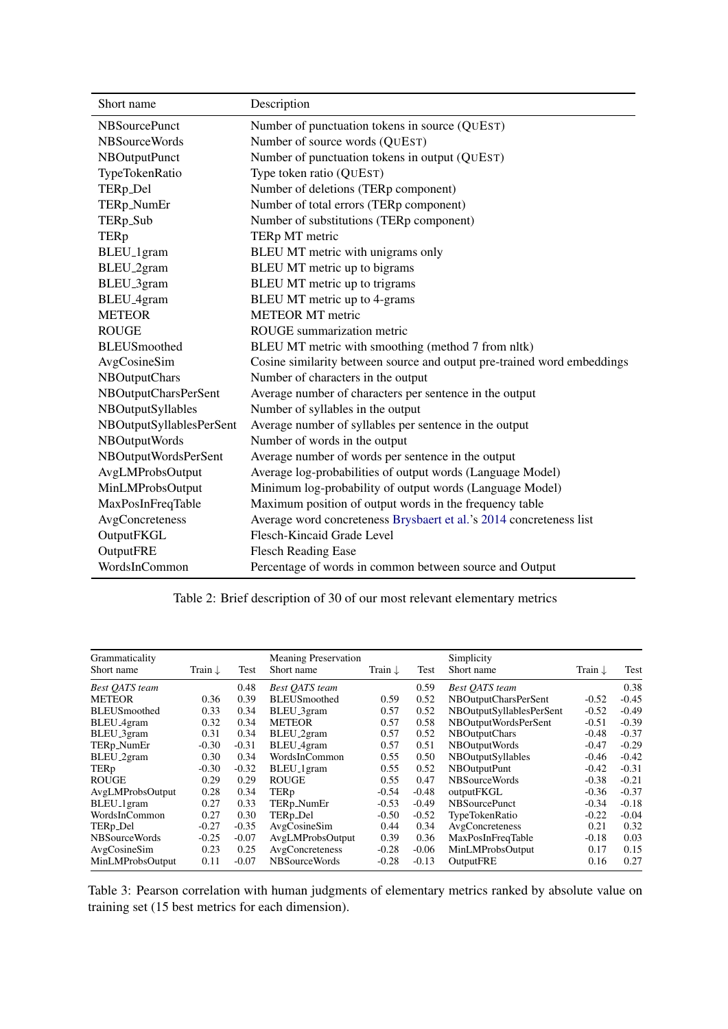<span id="page-5-0"></span>

| Short name               | Description                                                             |
|--------------------------|-------------------------------------------------------------------------|
| <b>NBSourcePunct</b>     | Number of punctuation tokens in source (QUEST)                          |
| <b>NBSourceWords</b>     | Number of source words (QUEST)                                          |
| NBOutputPunct            | Number of punctuation tokens in output (QUEST)                          |
| TypeTokenRatio           | Type token ratio (QUEST)                                                |
| TERp_Del                 | Number of deletions (TERp component)                                    |
| TERp_NumEr               | Number of total errors (TERp component)                                 |
| TERp_Sub                 | Number of substitutions (TERp component)                                |
| <b>TERp</b>              | TERp MT metric                                                          |
| BLEU <sub>-1</sub> gram  | BLEU MT metric with unigrams only                                       |
| BLEU <sub>-2gram</sub>   | BLEU MT metric up to bigrams                                            |
| BLEU <sub>-3</sub> gram  | BLEU MT metric up to trigrams                                           |
| BLEU <sub>-4gram</sub>   | BLEU MT metric up to 4-grams                                            |
| <b>METEOR</b>            | <b>METEOR MT</b> metric                                                 |
| <b>ROUGE</b>             | ROUGE summarization metric                                              |
| <b>BLEUS</b> moothed     | BLEU MT metric with smoothing (method 7 from nltk)                      |
| AvgCosineSim             | Cosine similarity between source and output pre-trained word embeddings |
| <b>NBOutputChars</b>     | Number of characters in the output                                      |
| NBOutputCharsPerSent     | Average number of characters per sentence in the output                 |
| NBOutputSyllables        | Number of syllables in the output                                       |
| NBOutputSyllablesPerSent | Average number of syllables per sentence in the output                  |
| NBOutputWords            | Number of words in the output                                           |
| NBOutputWordsPerSent     | Average number of words per sentence in the output                      |
| AvgLMProbsOutput         | Average log-probabilities of output words (Language Model)              |
| MinLMProbsOutput         | Minimum log-probability of output words (Language Model)                |
| MaxPosInFreqTable        | Maximum position of output words in the frequency table                 |
| AvgConcreteness          | Average word concreteness Brysbaert et al.'s 2014 concreteness list     |
| OutputFKGL               | Flesch-Kincaid Grade Level                                              |
| OutputFRE                | <b>Flesch Reading Ease</b>                                              |
| WordsInCommon            | Percentage of words in common between source and Output                 |

Table 2: Brief description of 30 of our most relevant elementary metrics

<span id="page-5-1"></span>

| Grammaticality<br>Short name | Train $\downarrow$ | Test    | <b>Meaning Preservation</b><br>Short name | Train $\downarrow$ | Test    | Simplicity<br>Short name | Train $\downarrow$ | Test    |
|------------------------------|--------------------|---------|-------------------------------------------|--------------------|---------|--------------------------|--------------------|---------|
| <b>Best QATS</b> team        |                    | 0.48    | <b>Best QATS</b> team                     |                    | 0.59    | <b>Best OATS</b> team    |                    | 0.38    |
| <b>METEOR</b>                | 0.36               | 0.39    | <b>BLEUS</b> moothed                      | 0.59               | 0.52    | NBOutputCharsPerSent     | $-0.52$            | $-0.45$ |
| <b>BLEUS</b> moothed         | 0.33               | 0.34    | BLEU_3gram                                | 0.57               | 0.52    | NBOutputSyllablesPerSent | $-0.52$            | $-0.49$ |
| BLEU <sub>-4gram</sub>       | 0.32               | 0.34    | <b>METEOR</b>                             | 0.57               | 0.58    | NBOutputWordsPerSent     | $-0.51$            | $-0.39$ |
| BLEU <sub>-3</sub> gram      | 0.31               | 0.34    | BLEU <sub>-2gram</sub>                    | 0.57               | 0.52    | <b>NBOutputChars</b>     | $-0.48$            | $-0.37$ |
| TERp_NumEr                   | -0.30              | $-0.31$ | BLEU <sub>-4gram</sub>                    | 0.57               | 0.51    | NBOutputWords            | $-0.47$            | $-0.29$ |
| BLEU <sub>-2gram</sub>       | 0.30               | 0.34    | WordsInCommon                             | 0.55               | 0.50    | <b>NBOutputSyllables</b> | $-0.46$            | $-0.42$ |
| TERp                         | -0.30              | $-0.32$ | BLEU <sub>_1</sub> gram                   | 0.55               | 0.52    | NBOutputPunt             | $-0.42$            | $-0.31$ |
| <b>ROUGE</b>                 | 0.29               | 0.29    | <b>ROUGE</b>                              | 0.55               | 0.47    | NBSourceWords            | $-0.38$            | $-0.21$ |
| AvgLMProbsOutput             | 0.28               | 0.34    | TERp                                      | $-0.54$            | $-0.48$ | outputFKGL               | $-0.36$            | $-0.37$ |
| BLEU <sub>_1</sub> gram      | 0.27               | 0.33    | TERp_NumEr                                | $-0.53$            | $-0.49$ | <b>NBS</b> ourcePunct    | $-0.34$            | $-0.18$ |
| WordsInCommon                | 0.27               | 0.30    | TERp_Del                                  | $-0.50$            | $-0.52$ | <b>TypeTokenRatio</b>    | $-0.22$            | $-0.04$ |
| TERp_Del                     | $-0.27$            | $-0.35$ | AvgCosineSim                              | 0.44               | 0.34    | AvgConcreteness          | 0.21               | 0.32    |
| NBSourceWords                | $-0.25$            | $-0.07$ | AvgLMProbsOutput                          | 0.39               | 0.36    | MaxPosInFreqTable        | $-0.18$            | 0.03    |
| AvgCosineSim                 | 0.23               | 0.25    | AvgConcreteness                           | $-0.28$            | $-0.06$ | MinLMProbsOutput         | 0.17               | 0.15    |
| MinLMProbsOutput             | 0.11               | $-0.07$ | NBSourceWords                             | $-0.28$            | $-0.13$ | OutputFRE                | 0.16               | 0.27    |

Table 3: Pearson correlation with human judgments of elementary metrics ranked by absolute value on training set (15 best metrics for each dimension).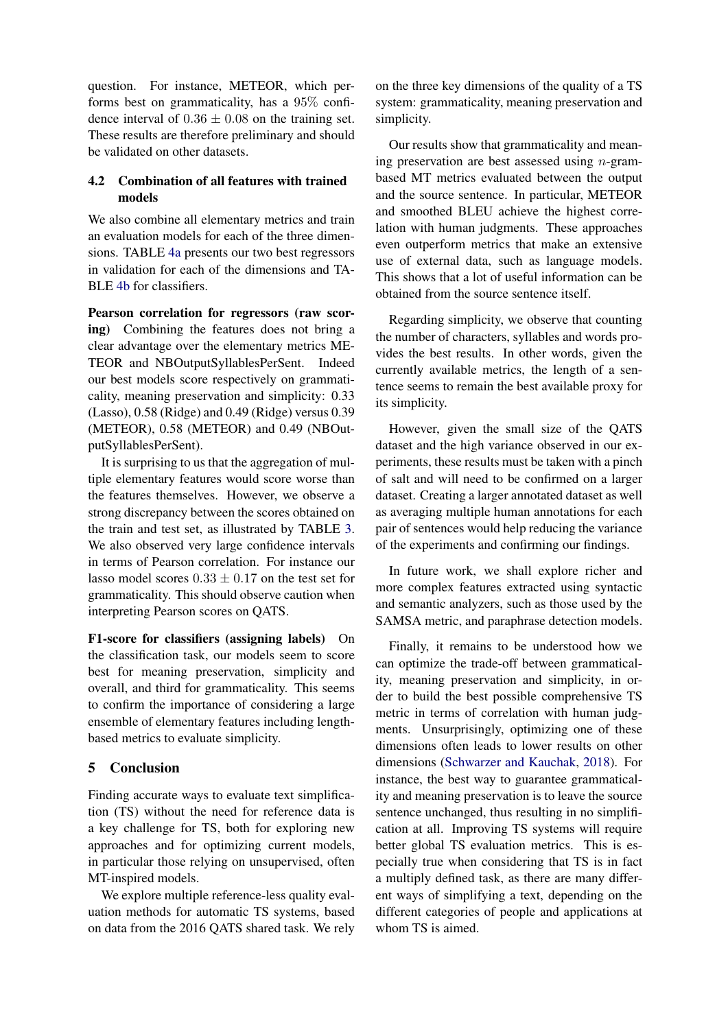question. For instance, METEOR, which performs best on grammaticality, has a 95% confidence interval of  $0.36 \pm 0.08$  on the training set. These results are therefore preliminary and should be validated on other datasets.

## 4.2 Combination of all features with trained models

We also combine all elementary metrics and train an evaluation models for each of the three dimensions. TABLE [4a](#page-7-0) presents our two best regressors in validation for each of the dimensions and TA-BLE [4b](#page-7-0) for classifiers.

Pearson correlation for regressors (raw scoring) Combining the features does not bring a clear advantage over the elementary metrics ME-TEOR and NBOutputSyllablesPerSent. Indeed our best models score respectively on grammaticality, meaning preservation and simplicity: 0.33 (Lasso), 0.58 (Ridge) and 0.49 (Ridge) versus 0.39 (METEOR), 0.58 (METEOR) and 0.49 (NBOutputSyllablesPerSent).

It is surprising to us that the aggregation of multiple elementary features would score worse than the features themselves. However, we observe a strong discrepancy between the scores obtained on the train and test set, as illustrated by TABLE [3.](#page-5-1) We also observed very large confidence intervals in terms of Pearson correlation. For instance our lasso model scores  $0.33 \pm 0.17$  on the test set for grammaticality. This should observe caution when interpreting Pearson scores on QATS.

F1-score for classifiers (assigning labels) On the classification task, our models seem to score best for meaning preservation, simplicity and overall, and third for grammaticality. This seems to confirm the importance of considering a large ensemble of elementary features including lengthbased metrics to evaluate simplicity.

# 5 Conclusion

Finding accurate ways to evaluate text simplification (TS) without the need for reference data is a key challenge for TS, both for exploring new approaches and for optimizing current models, in particular those relying on unsupervised, often MT-inspired models.

We explore multiple reference-less quality evaluation methods for automatic TS systems, based on data from the 2016 QATS shared task. We rely

on the three key dimensions of the quality of a TS system: grammaticality, meaning preservation and simplicity.

Our results show that grammaticality and meaning preservation are best assessed using  $n$ -grambased MT metrics evaluated between the output and the source sentence. In particular, METEOR and smoothed BLEU achieve the highest correlation with human judgments. These approaches even outperform metrics that make an extensive use of external data, such as language models. This shows that a lot of useful information can be obtained from the source sentence itself.

Regarding simplicity, we observe that counting the number of characters, syllables and words provides the best results. In other words, given the currently available metrics, the length of a sentence seems to remain the best available proxy for its simplicity.

However, given the small size of the QATS dataset and the high variance observed in our experiments, these results must be taken with a pinch of salt and will need to be confirmed on a larger dataset. Creating a larger annotated dataset as well as averaging multiple human annotations for each pair of sentences would help reducing the variance of the experiments and confirming our findings.

In future work, we shall explore richer and more complex features extracted using syntactic and semantic analyzers, such as those used by the SAMSA metric, and paraphrase detection models.

Finally, it remains to be understood how we can optimize the trade-off between grammaticality, meaning preservation and simplicity, in order to build the best possible comprehensive TS metric in terms of correlation with human judgments. Unsurprisingly, optimizing one of these dimensions often leads to lower results on other dimensions [\(Schwarzer and Kauchak,](#page-9-18) [2018\)](#page-9-18). For instance, the best way to guarantee grammaticality and meaning preservation is to leave the source sentence unchanged, thus resulting in no simplification at all. Improving TS systems will require better global TS evaluation metrics. This is especially true when considering that TS is in fact a multiply defined task, as there are many different ways of simplifying a text, depending on the different categories of people and applications at whom TS is aimed.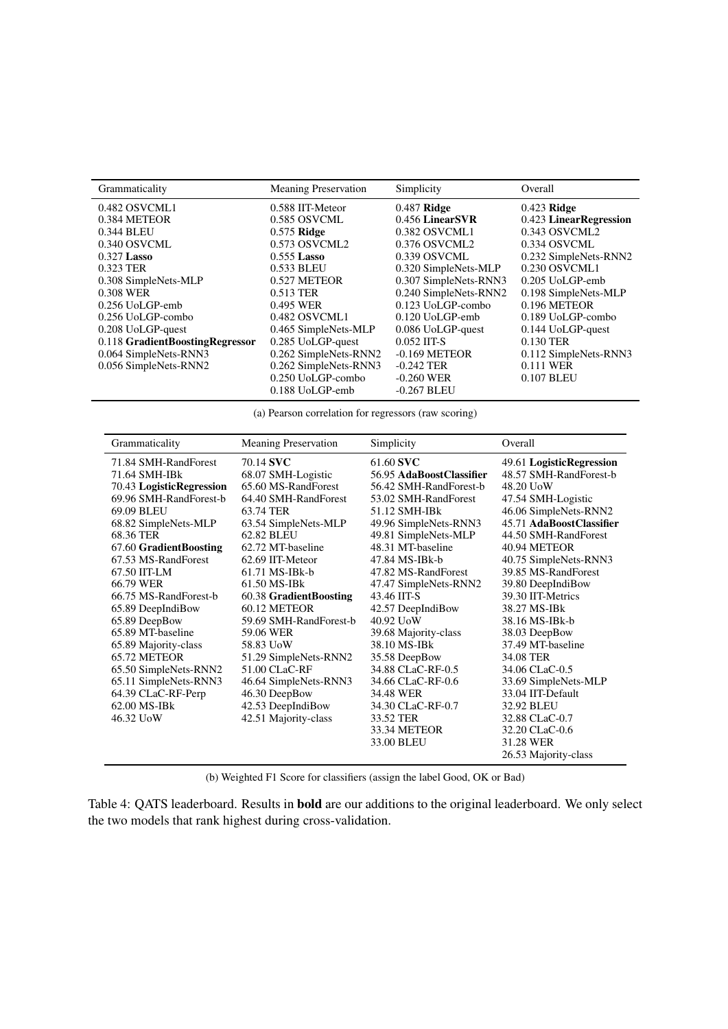<span id="page-7-0"></span>

| Grammaticality                  | <b>Meaning Preservation</b> | Simplicity            | Overall                |  |
|---------------------------------|-----------------------------|-----------------------|------------------------|--|
| 0.482 OSVCML1                   | 0.588 IIT-Meteor            | $0.487$ Ridge         | $0.423$ Ridge          |  |
| 0.384 METEOR                    | 0.585 OSVCML                | 0.456 LinearSVR       | 0.423 LinearRegression |  |
| 0.344 BLEU                      | $0.575$ Ridge               | 0.382 OSVCML1         | 0.343 OSVCML2          |  |
| 0.340 OSVCML                    | 0.573 OSVCML2               | 0.376 OSVCML2         | 0.334 OSVCML           |  |
| $0.327$ Lasso                   | $0.555$ Lasso               | 0.339 OSVCML          | 0.232 SimpleNets-RNN2  |  |
| 0.323 TER                       | 0.533 BLEU                  | 0.320 SimpleNets-MLP  | 0.230 OSVCML1          |  |
| 0.308 SimpleNets-MLP            | 0.527 METEOR                | 0.307 SimpleNets-RNN3 | 0.205 UoLGP-emb        |  |
| 0.308 WER                       | 0.513 TER                   | 0.240 SimpleNets-RNN2 | 0.198 SimpleNets-MLP   |  |
| 0.256 UoLGP-emb                 | 0.495 WER                   | 0.123 UoLGP-combo     | 0.196 METEOR           |  |
| $0.256$ UoLGP-combo             | 0.482 OSVCML1               | 0.120 UoLGP-emb       | 0.189 UoLGP-combo      |  |
| 0.208 UoLGP-quest               | 0.465 SimpleNets-MLP        | 0.086 UoLGP-quest     | 0.144 UoLGP-quest      |  |
| 0.118 GradientBoostingRegressor | 0.285 UoLGP-quest           | $0.052$ IIT-S         | 0.130 TER              |  |
| 0.064 SimpleNets-RNN3           | 0.262 SimpleNets-RNN2       | $-0.169$ METEOR       | 0.112 SimpleNets-RNN3  |  |
| 0.056 SimpleNets-RNN2           | 0.262 SimpleNets-RNN3       | $-0.242$ TER          | 0.111 WER              |  |
|                                 | 0.250 UoLGP-combo           | $-0.260$ WER          | 0.107 BLEU             |  |
|                                 | 0.188 UoLGP-emb             | $-0.267$ BLEU         |                        |  |

(a) Pearson correlation for regressors (raw scoring)

| Grammaticality            | <b>Meaning Preservation</b> | Simplicity               | Overall                  |
|---------------------------|-----------------------------|--------------------------|--------------------------|
| 71.84 SMH-RandForest      | 70.14 SVC                   | 61.60 SVC                | 49.61 LogisticRegression |
| 71.64 SMH-IB <sub>k</sub> | 68.07 SMH-Logistic          | 56.95 AdaBoostClassifier | 48.57 SMH-RandForest-b   |
| 70.43 LogisticRegression  | 65.60 MS-RandForest         | 56.42 SMH-RandForest-b   | 48.20 UoW                |
| 69.96 SMH-RandForest-b    | 64.40 SMH-RandForest        | 53.02 SMH-RandForest     | 47.54 SMH-Logistic       |
| 69.09 BLEU                | 63.74 TER                   | 51.12 SMH-IBk            | 46.06 SimpleNets-RNN2    |
| 68.82 SimpleNets-MLP      | 63.54 SimpleNets-MLP        | 49.96 SimpleNets-RNN3    | 45.71 AdaBoostClassifier |
| 68.36 TER                 | 62.82 BLEU                  | 49.81 SimpleNets-MLP     | 44.50 SMH-RandForest     |
| 67.60 GradientBoosting    | 62.72 MT-baseline           | 48.31 MT-baseline        | 40.94 METEOR             |
| 67.53 MS-RandForest       | 62.69 IIT-Meteor            | 47.84 MS-IBk-b           | 40.75 SimpleNets-RNN3    |
| 67.50 IIT-LM              | 61.71 MS-IBk-b              | 47.82 MS-RandForest      | 39.85 MS-RandForest      |
| 66.79 WER                 | 61.50 MS-IBk                | 47.47 SimpleNets-RNN2    | 39.80 DeepIndiBow        |
| 66.75 MS-RandForest-b     | 60.38 GradientBoosting      | 43.46 IIT-S              | 39.30 IIT-Metrics        |
| 65.89 DeepIndiBow         | 60.12 METEOR                | 42.57 DeepIndiBow        | 38.27 MS-IBk             |
| 65.89 DeepBow             | 59.69 SMH-RandForest-b      | 40.92 UoW                | 38.16 MS-IBk-b           |
| 65.89 MT-baseline         | 59.06 WER                   | 39.68 Majority-class     | 38.03 DeepBow            |
| 65.89 Majority-class      | 58.83 UoW                   | 38.10 MS-IBk             | 37.49 MT-baseline        |
| 65.72 METEOR              | 51.29 SimpleNets-RNN2       | 35.58 DeepBow            | 34.08 TER                |
| 65.50 SimpleNets-RNN2     | 51.00 CLaC-RF               | 34.88 CLaC-RF-0.5        | 34.06 CLaC-0.5           |
| 65.11 SimpleNets-RNN3     | 46.64 SimpleNets-RNN3       | 34.66 CLaC-RF-0.6        | 33.69 SimpleNets-MLP     |
| 64.39 CLaC-RF-Perp        | 46.30 DeepBow               | 34.48 WER                | 33.04 IIT-Default        |
| 62.00 MS-IBk              | 42.53 DeepIndiBow           | 34.30 CLaC-RF-0.7        | 32.92 BLEU               |
| 46.32 UoW                 | 42.51 Majority-class        | 33.52 TER                | 32.88 CLaC-0.7           |
|                           |                             | 33.34 METEOR             | 32.20 CLaC-0.6           |
|                           |                             | 33.00 BLEU               | 31.28 WER                |
|                           |                             |                          | 26.53 Majority-class     |

(b) Weighted F1 Score for classifiers (assign the label Good, OK or Bad)

Table 4: QATS leaderboard. Results in bold are our additions to the original leaderboard. We only select the two models that rank highest during cross-validation.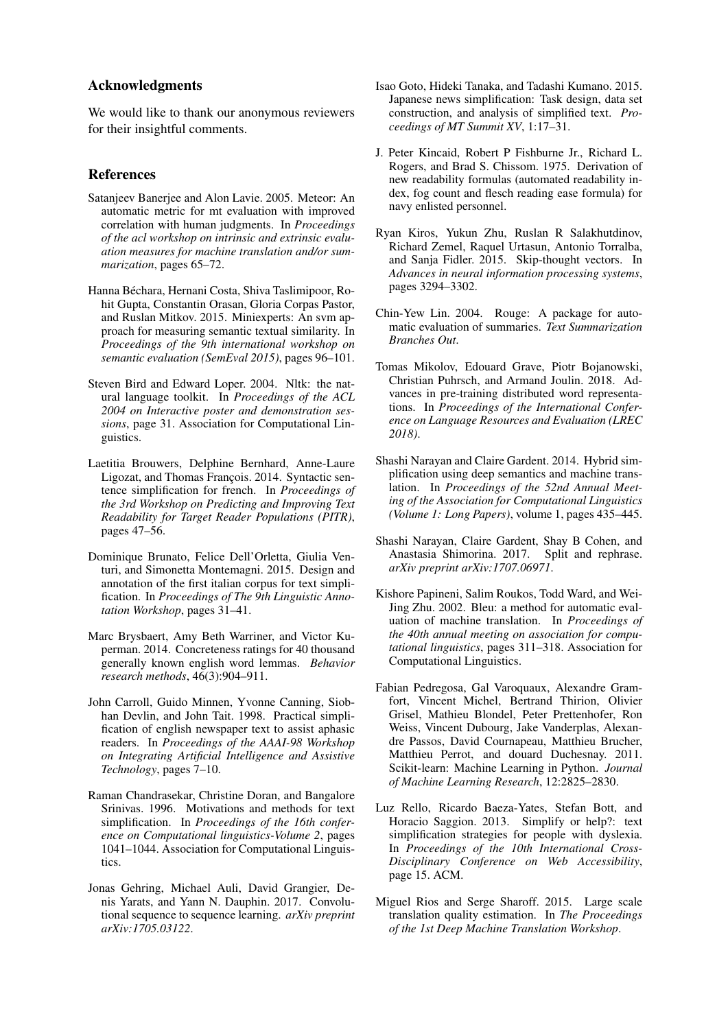## Acknowledgments

We would like to thank our anonymous reviewers for their insightful comments.

#### References

- <span id="page-8-9"></span>Satanjeev Banerjee and Alon Lavie. 2005. Meteor: An automatic metric for mt evaluation with improved correlation with human judgments. In *Proceedings of the acl workshop on intrinsic and extrinsic evaluation measures for machine translation and/or summarization*, pages 65–72.
- <span id="page-8-12"></span>Hanna Béchara, Hernani Costa, Shiva Taslimipoor, Rohit Gupta, Constantin Orasan, Gloria Corpas Pastor, and Ruslan Mitkov. 2015. Miniexperts: An svm approach for measuring semantic textual similarity. In *Proceedings of the 9th international workshop on semantic evaluation (SemEval 2015)*, pages 96–101.
- <span id="page-8-14"></span>Steven Bird and Edward Loper. 2004. Nltk: the natural language toolkit. In *Proceedings of the ACL 2004 on Interactive poster and demonstration sessions*, page 31. Association for Computational Linguistics.
- <span id="page-8-3"></span>Laetitia Brouwers, Delphine Bernhard, Anne-Laure Ligozat, and Thomas François. 2014. Syntactic sentence simplification for french. In *Proceedings of the 3rd Workshop on Predicting and Improving Text Readability for Target Reader Populations (PITR)*, pages 47–56.
- <span id="page-8-4"></span>Dominique Brunato, Felice Dell'Orletta, Giulia Venturi, and Simonetta Montemagni. 2015. Design and annotation of the first italian corpus for text simplification. In *Proceedings of The 9th Linguistic Annotation Workshop*, pages 31–41.
- <span id="page-8-15"></span>Marc Brysbaert, Amy Beth Warriner, and Victor Kuperman. 2014. Concreteness ratings for 40 thousand generally known english word lemmas. *Behavior research methods*, 46(3):904–911.
- <span id="page-8-0"></span>John Carroll, Guido Minnen, Yvonne Canning, Siobhan Devlin, and John Tait. 1998. Practical simplification of english newspaper text to assist aphasic readers. In *Proceedings of the AAAI-98 Workshop on Integrating Artificial Intelligence and Assistive Technology*, pages 7–10.
- <span id="page-8-6"></span>Raman Chandrasekar, Christine Doran, and Bangalore Srinivas. 1996. Motivations and methods for text simplification. In *Proceedings of the 16th conference on Computational linguistics-Volume 2*, pages 1041–1044. Association for Computational Linguistics.
- <span id="page-8-16"></span>Jonas Gehring, Michael Auli, David Grangier, Denis Yarats, and Yann N. Dauphin. 2017. Convolutional sequence to sequence learning. *arXiv preprint arXiv:1705.03122*.
- <span id="page-8-5"></span>Isao Goto, Hideki Tanaka, and Tadashi Kumano. 2015. Japanese news simplification: Task design, data set construction, and analysis of simplified text. *Proceedings of MT Summit XV*, 1:17–31.
- <span id="page-8-13"></span>J. Peter Kincaid, Robert P Fishburne Jr., Richard L. Rogers, and Brad S. Chissom. 1975. Derivation of new readability formulas (automated readability index, fog count and flesch reading ease formula) for navy enlisted personnel.
- <span id="page-8-18"></span>Ryan Kiros, Yukun Zhu, Ruslan R Salakhutdinov, Richard Zemel, Raquel Urtasun, Antonio Torralba, and Sanja Fidler. 2015. Skip-thought vectors. In *Advances in neural information processing systems*, pages 3294–3302.
- <span id="page-8-8"></span>Chin-Yew Lin. 2004. Rouge: A package for automatic evaluation of summaries. *Text Summarization Branches Out*.
- <span id="page-8-17"></span>Tomas Mikolov, Edouard Grave, Piotr Bojanowski, Christian Puhrsch, and Armand Joulin. 2018. Advances in pre-training distributed word representations. In *Proceedings of the International Conference on Language Resources and Evaluation (LREC 2018)*.
- <span id="page-8-2"></span>Shashi Narayan and Claire Gardent. 2014. Hybrid simplification using deep semantics and machine translation. In *Proceedings of the 52nd Annual Meeting of the Association for Computational Linguistics (Volume 1: Long Papers)*, volume 1, pages 435–445.
- <span id="page-8-10"></span>Shashi Narayan, Claire Gardent, Shay B Cohen, and Anastasia Shimorina. 2017. Split and rephrase. *arXiv preprint arXiv:1707.06971*.
- <span id="page-8-7"></span>Kishore Papineni, Salim Roukos, Todd Ward, and Wei-Jing Zhu. 2002. Bleu: a method for automatic evaluation of machine translation. In *Proceedings of the 40th annual meeting on association for computational linguistics*, pages 311–318. Association for Computational Linguistics.
- <span id="page-8-19"></span>Fabian Pedregosa, Gal Varoquaux, Alexandre Gramfort, Vincent Michel, Bertrand Thirion, Olivier Grisel, Mathieu Blondel, Peter Prettenhofer, Ron Weiss, Vincent Dubourg, Jake Vanderplas, Alexandre Passos, David Cournapeau, Matthieu Brucher, Matthieu Perrot, and douard Duchesnay. 2011. Scikit-learn: Machine Learning in Python. *Journal of Machine Learning Research*, 12:2825–2830.
- <span id="page-8-1"></span>Luz Rello, Ricardo Baeza-Yates, Stefan Bott, and Horacio Saggion. 2013. Simplify or help?: text simplification strategies for people with dyslexia. In *Proceedings of the 10th International Cross-Disciplinary Conference on Web Accessibility*, page 15. ACM.
- <span id="page-8-11"></span>Miguel Rios and Serge Sharoff. 2015. Large scale translation quality estimation. In *The Proceedings of the 1st Deep Machine Translation Workshop*.